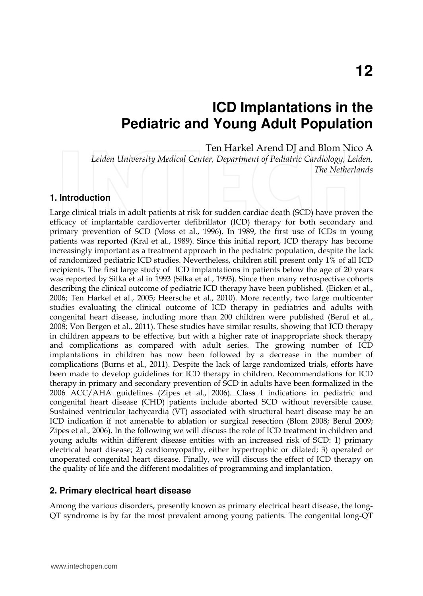# **ICD Implantations in the Pediatric and Young Adult Population**

Ten Harkel Arend DJ and Blom Nico A

*Leiden University Medical Center, Department of Pediatric Cardiology, Leiden, The Netherlands* 

#### **1. Introduction**

Large clinical trials in adult patients at risk for sudden cardiac death (SCD) have proven the efficacy of implantable cardioverter defibrillator (ICD) therapy for both secondary and primary prevention of SCD (Moss et al., 1996). In 1989, the first use of ICDs in young patients was reported (Kral et al., 1989). Since this initial report, ICD therapy has become increasingly important as a treatment approach in the pediatric population, despite the lack of randomized pediatric ICD studies. Nevertheless, children still present only 1% of all ICD recipients. The first large study of ICD implantations in patients below the age of 20 years was reported by Silka et al in 1993 (Silka et al., 1993). Since then many retrospective cohorts describing the clinical outcome of pediatric ICD therapy have been published. (Eicken et al., 2006; Ten Harkel et al., 2005; Heersche et al., 2010). More recently, two large multicenter studies evaluating the clinical outcome of ICD therapy in pediatrics and adults with congenital heart disease, including more than 200 children were published (Berul et al., 2008; Von Bergen et al., 2011). These studies have similar results, showing that ICD therapy in children appears to be effective, but with a higher rate of inappropriate shock therapy and complications as compared with adult series. The growing number of ICD implantations in children has now been followed by a decrease in the number of complications (Burns et al., 2011). Despite the lack of large randomized trials, efforts have been made to develop guidelines for ICD therapy in children. Recommendations for ICD therapy in primary and secondary prevention of SCD in adults have been formalized in the 2006 ACC/AHA guidelines (Zipes et al., 2006). Class I indications in pediatric and congenital heart disease (CHD) patients include aborted SCD without reversible cause. Sustained ventricular tachycardia (VT) associated with structural heart disease may be an ICD indication if not amenable to ablation or surgical resection (Blom 2008; Berul 2009; Zipes et al., 2006). In the following we will discuss the role of ICD treatment in children and young adults within different disease entities with an increased risk of SCD: 1) primary electrical heart disease; 2) cardiomyopathy, either hypertrophic or dilated; 3) operated or unoperated congenital heart disease. Finally, we will discuss the effect of ICD therapy on the quality of life and the different modalities of programming and implantation.

#### **2. Primary electrical heart disease**

Among the various disorders, presently known as primary electrical heart disease, the long-QT syndrome is by far the most prevalent among young patients. The congenital long-QT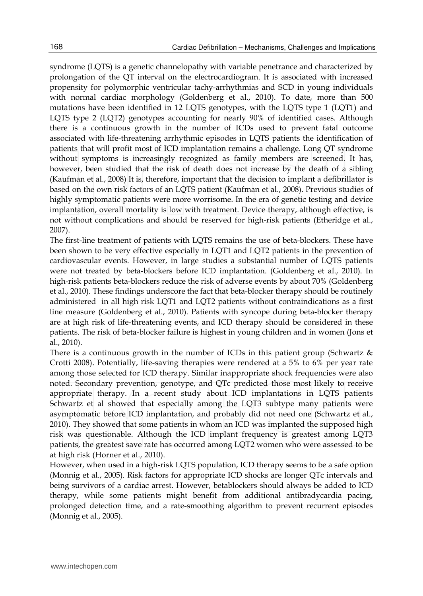syndrome (LQTS) is a genetic channelopathy with variable penetrance and characterized by prolongation of the QT interval on the electrocardiogram. It is associated with increased propensity for polymorphic ventricular tachy-arrhythmias and SCD in young individuals with normal cardiac morphology (Goldenberg et al., 2010). To date, more than 500 mutations have been identified in 12 LQTS genotypes, with the LQTS type 1 (LQT1) and LQTS type 2 (LQT2) genotypes accounting for nearly 90% of identified cases. Although there is a continuous growth in the number of ICDs used to prevent fatal outcome associated with life-threatening arrhythmic episodes in LQTS patients the identification of patients that will profit most of ICD implantation remains a challenge. Long QT syndrome without symptoms is increasingly recognized as family members are screened. It has, however, been studied that the risk of death does not increase by the death of a sibling (Kaufman et al., 2008) It is, therefore, important that the decision to implant a defibrillator is based on the own risk factors of an LQTS patient (Kaufman et al., 2008). Previous studies of highly symptomatic patients were more worrisome. In the era of genetic testing and device implantation, overall mortality is low with treatment. Device therapy, although effective, is not without complications and should be reserved for high-risk patients (Etheridge et al., 2007).

The first-line treatment of patients with LQTS remains the use of beta-blockers. These have been shown to be very effective especially in LQT1 and LQT2 patients in the prevention of cardiovascular events. However, in large studies a substantial number of LQTS patients were not treated by beta-blockers before ICD implantation. (Goldenberg et al., 2010). In high-risk patients beta-blockers reduce the risk of adverse events by about 70% (Goldenberg et al., 2010). These findings underscore the fact that beta-blocker therapy should be routinely administered in all high risk LQT1 and LQT2 patients without contraindications as a first line measure (Goldenberg et al., 2010). Patients with syncope during beta-blocker therapy are at high risk of life-threatening events, and ICD therapy should be considered in these patients. The risk of beta-blocker failure is highest in young children and in women (Jons et al., 2010).

There is a continuous growth in the number of ICDs in this patient group (Schwartz & Crotti 2008). Potentially, life-saving therapies were rendered at a 5% to 6% per year rate among those selected for ICD therapy. Similar inappropriate shock frequencies were also noted. Secondary prevention, genotype, and QTc predicted those most likely to receive appropriate therapy. In a recent study about ICD implantations in LQTS patients Schwartz et al showed that especially among the LQT3 subtype many patients were asymptomatic before ICD implantation, and probably did not need one (Schwartz et al., 2010). They showed that some patients in whom an ICD was implanted the supposed high risk was questionable. Although the ICD implant frequency is greatest among LQT3 patients, the greatest save rate has occurred among LQT2 women who were assessed to be at high risk (Horner et al., 2010).

However, when used in a high-risk LQTS population, ICD therapy seems to be a safe option (Monnig et al., 2005). Risk factors for appropriate ICD shocks are longer QTc intervals and being survivors of a cardiac arrest. However, betablockers should always be added to ICD therapy, while some patients might benefit from additional antibradycardia pacing, prolonged detection time, and a rate-smoothing algorithm to prevent recurrent episodes (Monnig et al., 2005).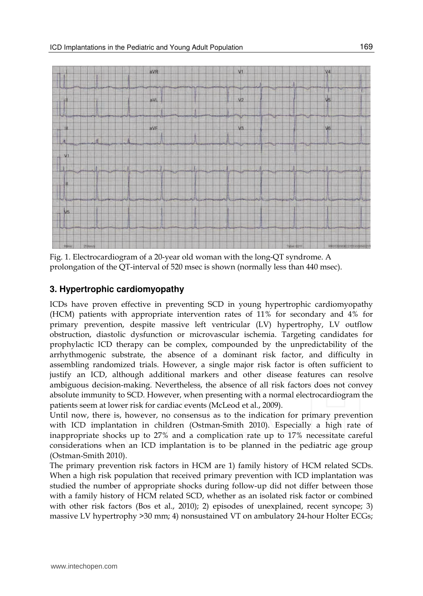

Fig. 1. Electrocardiogram of a 20-year old woman with the long-QT syndrome. A prolongation of the QT-interval of 520 msec is shown (normally less than 440 msec).

#### **3. Hypertrophic cardiomyopathy**

ICDs have proven effective in preventing SCD in young hypertrophic cardiomyopathy (HCM) patients with appropriate intervention rates of 11% for secondary and 4% for primary prevention, despite massive left ventricular (LV) hypertrophy, LV outflow obstruction, diastolic dysfunction or microvascular ischemia. Targeting candidates for prophylactic ICD therapy can be complex, compounded by the unpredictability of the arrhythmogenic substrate, the absence of a dominant risk factor, and difficulty in assembling randomized trials. However, a single major risk factor is often sufficient to justify an ICD, although additional markers and other disease features can resolve ambiguous decision-making. Nevertheless, the absence of all risk factors does not convey absolute immunity to SCD. However, when presenting with a normal electrocardiogram the patients seem at lower risk for cardiac events (McLeod et al., 2009).

Until now, there is, however, no consensus as to the indication for primary prevention with ICD implantation in children (Ostman-Smith 2010). Especially a high rate of inappropriate shocks up to 27% and a complication rate up to 17% necessitate careful considerations when an ICD implantation is to be planned in the pediatric age group (Ostman-Smith 2010).

The primary prevention risk factors in HCM are 1) family history of HCM related SCDs. When a high risk population that received primary prevention with ICD implantation was studied the number of appropriate shocks during follow-up did not differ between those with a family history of HCM related SCD, whether as an isolated risk factor or combined with other risk factors (Bos et al., 2010); 2) episodes of unexplained, recent syncope; 3) massive LV hypertrophy >30 mm; 4) nonsustained VT on ambulatory 24-hour Holter ECGs;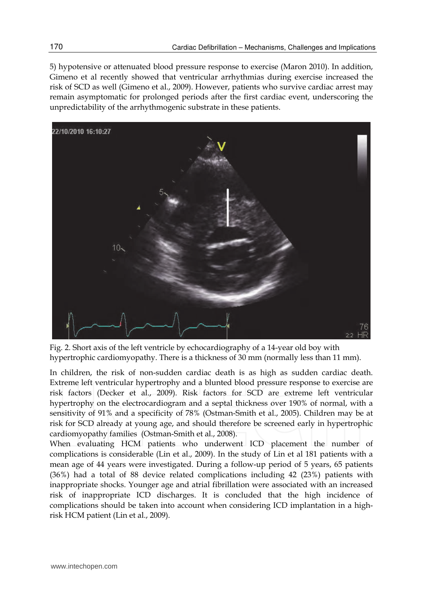5) hypotensive or attenuated blood pressure response to exercise (Maron 2010). In addition, Gimeno et al recently showed that ventricular arrhythmias during exercise increased the risk of SCD as well (Gimeno et al., 2009). However, patients who survive cardiac arrest may remain asymptomatic for prolonged periods after the first cardiac event, underscoring the unpredictability of the arrhythmogenic substrate in these patients.



Fig. 2. Short axis of the left ventricle by echocardiography of a 14-year old boy with hypertrophic cardiomyopathy. There is a thickness of 30 mm (normally less than 11 mm).

In children, the risk of non-sudden cardiac death is as high as sudden cardiac death. Extreme left ventricular hypertrophy and a blunted blood pressure response to exercise are risk factors (Decker et al., 2009). Risk factors for SCD are extreme left ventricular hypertrophy on the electrocardiogram and a septal thickness over 190% of normal, with a sensitivity of 91% and a specificity of 78% (Ostman-Smith et al., 2005). Children may be at risk for SCD already at young age, and should therefore be screened early in hypertrophic cardiomyopathy families (Ostman-Smith et al., 2008).

When evaluating HCM patients who underwent ICD placement the number of complications is considerable (Lin et al., 2009). In the study of Lin et al 181 patients with a mean age of 44 years were investigated. During a follow-up period of 5 years, 65 patients (36%) had a total of 88 device related complications including 42 (23%) patients with inappropriate shocks. Younger age and atrial fibrillation were associated with an increased risk of inappropriate ICD discharges. It is concluded that the high incidence of complications should be taken into account when considering ICD implantation in a highrisk HCM patient (Lin et al., 2009).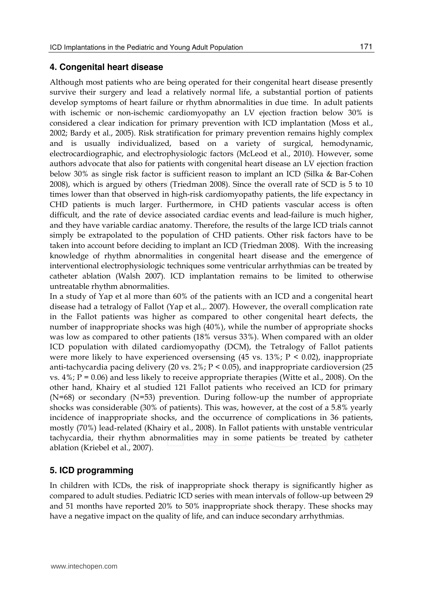#### **4. Congenital heart disease**

Although most patients who are being operated for their congenital heart disease presently survive their surgery and lead a relatively normal life, a substantial portion of patients develop symptoms of heart failure or rhythm abnormalities in due time. In adult patients with ischemic or non-ischemic cardiomyopathy an LV ejection fraction below 30% is considered a clear indication for primary prevention with ICD implantation (Moss et al., 2002; Bardy et al., 2005). Risk stratification for primary prevention remains highly complex and is usually individualized, based on a variety of surgical, hemodynamic, electrocardiographic, and electrophysiologic factors (McLeod et al., 2010). However, some authors advocate that also for patients with congenital heart disease an LV ejection fraction below 30% as single risk factor is sufficient reason to implant an ICD (Silka & Bar-Cohen 2008), which is argued by others (Triedman 2008). Since the overall rate of SCD is 5 to 10 times lower than that observed in high-risk cardiomyopathy patients, the life expectancy in CHD patients is much larger. Furthermore, in CHD patients vascular access is often difficult, and the rate of device associated cardiac events and lead-failure is much higher, and they have variable cardiac anatomy. Therefore, the results of the large ICD trials cannot simply be extrapolated to the population of CHD patients. Other risk factors have to be taken into account before deciding to implant an ICD (Triedman 2008). With the increasing knowledge of rhythm abnormalities in congenital heart disease and the emergence of interventional electrophysiologic techniques some ventricular arrhythmias can be treated by catheter ablation (Walsh 2007). ICD implantation remains to be limited to otherwise untreatable rhythm abnormalities.

In a study of Yap et al more than 60% of the patients with an ICD and a congenital heart disease had a tetralogy of Fallot (Yap et al.,. 2007). However, the overall complication rate in the Fallot patients was higher as compared to other congenital heart defects, the number of inappropriate shocks was high (40%), while the number of appropriate shocks was low as compared to other patients (18% versus 33%). When compared with an older ICD population with dilated cardiomyopathy (DCM), the Tetralogy of Fallot patients were more likely to have experienced oversensing  $(45 \text{ vs. } 13\%; P \le 0.02)$ , inappropriate anti-tachycardia pacing delivery (20 vs.  $2\%$ ;  $P \le 0.05$ ), and inappropriate cardioversion (25 vs.  $4\%$ ;  $P = 0.06$ ) and less likely to receive appropriate therapies (Witte et al., 2008). On the other hand, Khairy et al studied 121 Fallot patients who received an ICD for primary (N=68) or secondary (N=53) prevention. During follow-up the number of appropriate shocks was considerable (30% of patients). This was, however, at the cost of a 5.8% yearly incidence of inappropriate shocks, and the occurrence of complications in 36 patients, mostly (70%) lead-related (Khairy et al., 2008). In Fallot patients with unstable ventricular tachycardia, their rhythm abnormalities may in some patients be treated by catheter ablation (Kriebel et al., 2007).

## **5. ICD programming**

In children with ICDs, the risk of inappropriate shock therapy is significantly higher as compared to adult studies. Pediatric ICD series with mean intervals of follow-up between 29 and 51 months have reported 20% to 50% inappropriate shock therapy. These shocks may have a negative impact on the quality of life, and can induce secondary arrhythmias.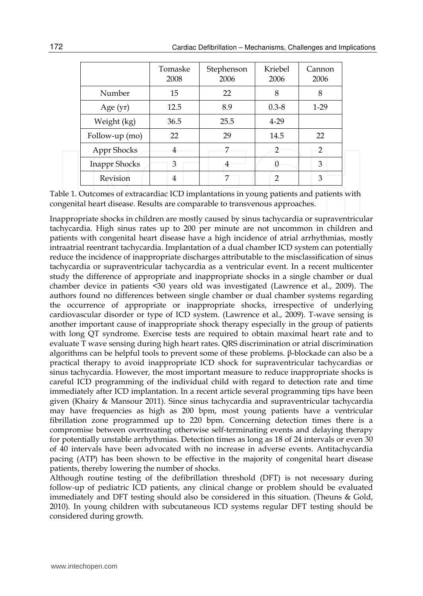|                      | Tomaske<br>2008 | Stephenson<br>2006 | Kriebel<br>2006 | Cannon<br>2006 |
|----------------------|-----------------|--------------------|-----------------|----------------|
| Number               | 15              | 22                 | 8               | 8              |
| Age (yr)             | 12.5            | 8.9                | $0.3 - 8$       | $1-29$         |
| Weight (kg)          | 36.5            | 25.5               | $4 - 29$        |                |
| Follow-up (mo)       | 22              | 29                 | 14.5            | 22             |
| Appr Shocks          | 4               | 7                  |                 | 2              |
| <b>Inappr Shocks</b> | 3               | 4                  |                 | 3              |
| Revision             | 4               |                    | 2               | 3              |

Table 1. Outcomes of extracardiac ICD implantations in young patients and patients with congenital heart disease. Results are comparable to transvenous approaches.

Inappropriate shocks in children are mostly caused by sinus tachycardia or supraventricular tachycardia. High sinus rates up to 200 per minute are not uncommon in children and patients with congenital heart disease have a high incidence of atrial arrhythmias, mostly intraatrial reentrant tachycardia. Implantation of a dual chamber ICD system can potentially reduce the incidence of inappropriate discharges attributable to the misclassification of sinus tachycardia or supraventricular tachycardia as a ventricular event. In a recent multicenter study the difference of appropriate and inappropriate shocks in a single chamber or dual chamber device in patients <30 years old was investigated (Lawrence et al., 2009). The authors found no differences between single chamber or dual chamber systems regarding the occurrence of appropriate or inappropriate shocks, irrespective of underlying cardiovascular disorder or type of ICD system. (Lawrence et al., 2009). T-wave sensing is another important cause of inappropriate shock therapy especially in the group of patients with long QT syndrome. Exercise tests are required to obtain maximal heart rate and to evaluate T wave sensing during high heart rates. QRS discrimination or atrial discrimination algorithms can be helpful tools to prevent some of these problems. β-blockade can also be a practical therapy to avoid inappropriate ICD shock for supraventricular tachycardias or sinus tachycardia. However, the most important measure to reduce inappropriate shocks is careful ICD programming of the individual child with regard to detection rate and time immediately after ICD implantation. In a recent article several programming tips have been given (Khairy & Mansour 2011). Since sinus tachycardia and supraventricular tachycardia may have frequencies as high as 200 bpm, most young patients have a ventricular fibrillation zone programmed up to 220 bpm. Concerning detection times there is a compromise between overtreating otherwise self-terminating events and delaying therapy for potentially unstable arrhythmias. Detection times as long as 18 of 24 intervals or even 30 of 40 intervals have been advocated with no increase in adverse events. Antitachycardia pacing (ATP) has been shown to be effective in the majority of congenital heart disease patients, thereby lowering the number of shocks.

Although routine testing of the defibrillation threshold (DFT) is not necessary during follow-up of pediatric ICD patients, any clinical change or problem should be evaluated immediately and DFT testing should also be considered in this situation. (Theuns & Gold, 2010). In young children with subcutaneous ICD systems regular DFT testing should be considered during growth.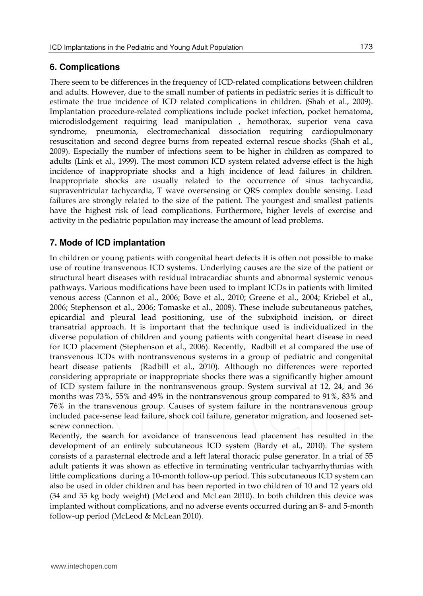### **6. Complications**

There seem to be differences in the frequency of ICD-related complications between children and adults. However, due to the small number of patients in pediatric series it is difficult to estimate the true incidence of ICD related complications in children. (Shah et al., 2009). Implantation procedure-related complications include pocket infection, pocket hematoma, microdislodgement requiring lead manipulation , hemothorax, superior vena cava syndrome, pneumonia, electromechanical dissociation requiring cardiopulmonary resuscitation and second degree burns from repeated external rescue shocks (Shah et al., 2009). Especially the number of infections seem to be higher in children as compared to adults (Link et al., 1999). The most common ICD system related adverse effect is the high incidence of inappropriate shocks and a high incidence of lead failures in children. Inappropriate shocks are usually related to the occurrence of sinus tachycardia, supraventricular tachycardia, T wave oversensing or QRS complex double sensing. Lead failures are strongly related to the size of the patient. The youngest and smallest patients have the highest risk of lead complications. Furthermore, higher levels of exercise and activity in the pediatric population may increase the amount of lead problems.

### **7. Mode of ICD implantation**

In children or young patients with congenital heart defects it is often not possible to make use of routine transvenous ICD systems. Underlying causes are the size of the patient or structural heart diseases with residual intracardiac shunts and abnormal systemic venous pathways. Various modifications have been used to implant ICDs in patients with limited venous access (Cannon et al., 2006; Bove et al., 2010; Greene et al., 2004; Kriebel et al., 2006; Stephenson et al., 2006; Tomaske et al., 2008). These include subcutaneous patches, epicardial and pleural lead positioning, use of the subxiphoid incision, or direct transatrial approach. It is important that the technique used is individualized in the diverse population of children and young patients with congenital heart disease in need for ICD placement (Stephenson et al., 2006). Recently, Radbill et al compared the use of transvenous ICDs with nontransvenous systems in a group of pediatric and congenital heart disease patients (Radbill et al., 2010). Although no differences were reported considering appropriate or inappropriate shocks there was a significantly higher amount of ICD system failure in the nontransvenous group. System survival at 12, 24, and 36 months was 73%, 55% and 49% in the nontransvenous group compared to 91%, 83% and 76% in the transvenous group. Causes of system failure in the nontransvenous group included pace-sense lead failure, shock coil failure, generator migration, and loosened setscrew connection.

Recently, the search for avoidance of transvenous lead placement has resulted in the development of an entirely subcutaneous ICD system (Bardy et al., 2010). The system consists of a parasternal electrode and a left lateral thoracic pulse generator. In a trial of 55 adult patients it was shown as effective in terminating ventricular tachyarrhythmias with little complications during a 10-month follow-up period. This subcutaneous ICD system can also be used in older children and has been reported in two children of 10 and 12 years old (34 and 35 kg body weight) (McLeod and McLean 2010). In both children this device was implanted without complications, and no adverse events occurred during an 8- and 5-month follow-up period (McLeod & McLean 2010).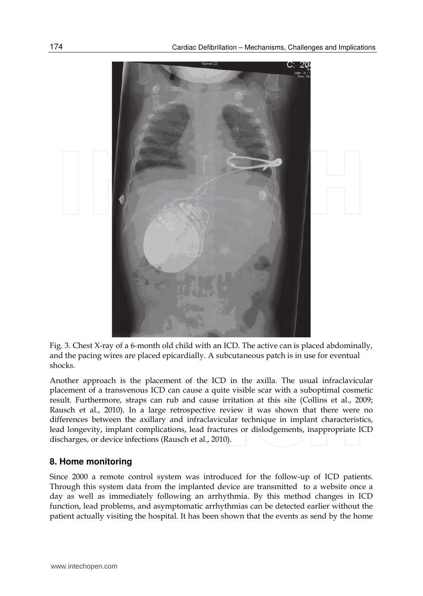

Fig. 3. Chest X-ray of a 6-month old child with an ICD. The active can is placed abdominally, and the pacing wires are placed epicardially. A subcutaneous patch is in use for eventual shocks.

Another approach is the placement of the ICD in the axilla. The usual infraclavicular placement of a transvenous ICD can cause a quite visible scar with a suboptimal cosmetic result. Furthermore, straps can rub and cause irritation at this site (Collins et al., 2009; Rausch et al., 2010). In a large retrospective review it was shown that there were no differences between the axillary and infraclavicular technique in implant characteristics, lead longevity, implant complications, lead fractures or dislodgements, inappropriate ICD discharges, or device infections (Rausch et al., 2010).

#### **8. Home monitoring**

Since 2000 a remote control system was introduced for the follow-up of ICD patients. Through this system data from the implanted device are transmitted to a website once a day as well as immediately following an arrhythmia. By this method changes in ICD function, lead problems, and asymptomatic arrhythmias can be detected earlier without the patient actually visiting the hospital. It has been shown that the events as send by the home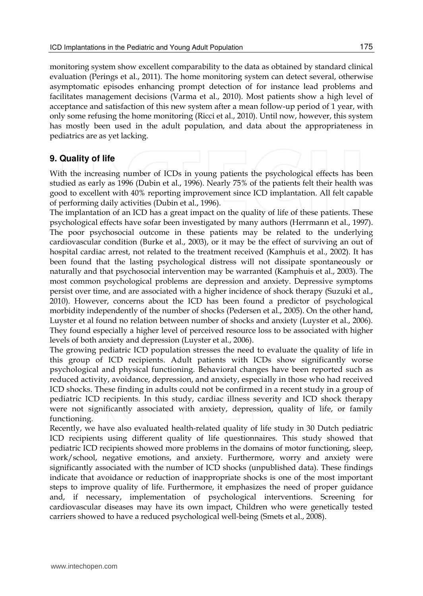monitoring system show excellent comparability to the data as obtained by standard clinical evaluation (Perings et al., 2011). The home monitoring system can detect several, otherwise asymptomatic episodes enhancing prompt detection of for instance lead problems and facilitates management decisions (Varma et al., 2010). Most patients show a high level of acceptance and satisfaction of this new system after a mean follow-up period of 1 year, with only some refusing the home monitoring (Ricci et al., 2010). Until now, however, this system has mostly been used in the adult population, and data about the appropriateness in pediatrics are as yet lacking.

# **9. Quality of life**

With the increasing number of ICDs in young patients the psychological effects has been studied as early as 1996 (Dubin et al., 1996). Nearly 75% of the patients felt their health was good to excellent with 40% reporting improvement since ICD implantation. All felt capable of performing daily activities (Dubin et al., 1996).

The implantation of an ICD has a great impact on the quality of life of these patients. These psychological effects have sofar been investigated by many authors (Herrmann et al., 1997). The poor psychosocial outcome in these patients may be related to the underlying cardiovascular condition (Burke et al., 2003), or it may be the effect of surviving an out of hospital cardiac arrest, not related to the treatment received (Kamphuis et al., 2002). It has been found that the lasting psychological distress will not dissipate spontaneously or naturally and that psychosocial intervention may be warranted (Kamphuis et al., 2003). The most common psychological problems are depression and anxiety. Depressive symptoms persist over time, and are associated with a higher incidence of shock therapy (Suzuki et al., 2010). However, concerns about the ICD has been found a predictor of psychological morbidity independently of the number of shocks (Pedersen et al., 2005). On the other hand, Luyster et al found no relation between number of shocks and anxiety (Luyster et al., 2006). They found especially a higher level of perceived resource loss to be associated with higher levels of both anxiety and depression (Luyster et al., 2006).

The growing pediatric ICD population stresses the need to evaluate the quality of life in this group of ICD recipients. Adult patients with ICDs show significantly worse psychological and physical functioning. Behavioral changes have been reported such as reduced activity, avoidance, depression, and anxiety, especially in those who had received ICD shocks. These finding in adults could not be confirmed in a recent study in a group of pediatric ICD recipients. In this study, cardiac illness severity and ICD shock therapy were not significantly associated with anxiety, depression, quality of life, or family functioning.

Recently, we have also evaluated health-related quality of life study in 30 Dutch pediatric ICD recipients using different quality of life questionnaires. This study showed that pediatric ICD recipients showed more problems in the domains of motor functioning, sleep, work/school, negative emotions, and anxiety. Furthermore, worry and anxiety were significantly associated with the number of ICD shocks (unpublished data). These findings indicate that avoidance or reduction of inappropriate shocks is one of the most important steps to improve quality of life. Furthermore, it emphasizes the need of proper guidance and, if necessary, implementation of psychological interventions. Screening for cardiovascular diseases may have its own impact, Children who were genetically tested carriers showed to have a reduced psychological well-being (Smets et al., 2008).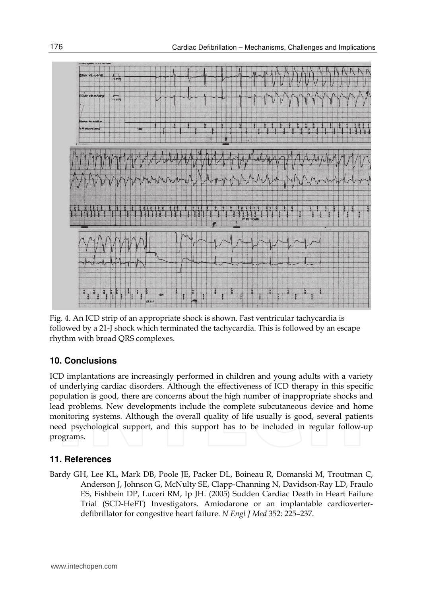

Fig. 4. An ICD strip of an appropriate shock is shown. Fast ventricular tachycardia is followed by a 21-J shock which terminated the tachycardia. This is followed by an escape rhythm with broad QRS complexes.

#### **10. Conclusions**

ICD implantations are increasingly performed in children and young adults with a variety of underlying cardiac disorders. Although the effectiveness of ICD therapy in this specific population is good, there are concerns about the high number of inappropriate shocks and lead problems. New developments include the complete subcutaneous device and home monitoring systems. Although the overall quality of life usually is good, several patients need psychological support, and this support has to be included in regular follow-up programs.

#### **11. References**

Bardy GH, Lee KL, Mark DB, Poole JE, Packer DL, Boineau R, Domanski M, Troutman C, Anderson J, Johnson G, McNulty SE, Clapp-Channing N, Davidson-Ray LD, Fraulo ES, Fishbein DP, Luceri RM, Ip JH. (2005) Sudden Cardiac Death in Heart Failure Trial (SCD-HeFT) Investigators. Amiodarone or an implantable cardioverterdefibrillator for congestive heart failure. *N Engl J Med* 352: 225–237.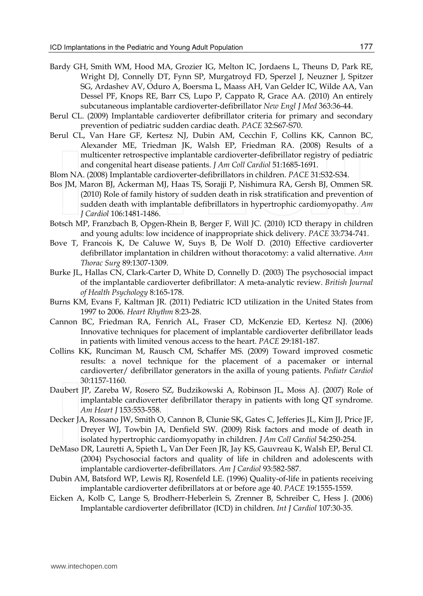- Bardy GH, Smith WM, Hood MA, Grozier IG, Melton IC, Jordaens L, Theuns D, Park RE, Wright DJ, Connelly DT, Fynn SP, Murgatroyd FD, Sperzel J, Neuzner J, Spitzer SG, Ardashev AV, Oduro A, Boersma L, Maass AH, Van Gelder IC, Wilde AA, Van Dessel PF, Knops RE, Barr CS, Lupo P, Cappato R, Grace AA. (2010) An entirely subcutaneous implantable cardioverter-defibrillator *New Engl J Med* 363:36-44.
- Berul CL. (2009) Implantable cardioverter defibrillator criteria for primary and secondary prevention of pediatric sudden cardiac death. *PACE* 32:S67-S70.
- Berul CL, Van Hare GF, Kertesz NJ, Dubin AM, Cecchin F, Collins KK, Cannon BC, Alexander ME, Triedman JK, Walsh EP, Friedman RA. (2008) Results of a multicenter retrospective implantable cardioverter-defibrillator registry of pediatric and congenital heart disease patients. *J Am Coll Cardiol* 51:1685-1691.
- Blom NA. (2008) Implantable cardioverter-defibrillators in children. *PACE* 31:S32-S34.
- Bos JM, Maron BJ, Ackerman MJ, Haas TS, Sorajji P, Nishimura RA, Gersh BJ, Ommen SR. (2010) Role of family history of sudden death in risk stratification and prevention of sudden death with implantable defibrillators in hypertrophic cardiomyopathy. *Am J Cardiol* 106:1481-1486.
- Botsch MP, Franzbach B, Opgen-Rhein B, Berger F, Will JC. (2010) ICD therapy in children and young adults: low incidence of inappropriate shick delivery. *PACE* 33:734-741.
- Bove T, Francois K, De Caluwe W, Suys B, De Wolf D. (2010) Effective cardioverter defibrillator implantation in children without thoracotomy: a valid alternative. *Ann Thorac Surg* 89:1307-1309.
- Burke JL, Hallas CN, Clark-Carter D, White D, Connelly D. (2003) The psychosocial impact of the implantable cardioverter defibrillator: A meta-analytic review. *British Journal of Health Psychology* 8:165-178.
- Burns KM, Evans F, Kaltman JR. (2011) Pediatric ICD utilization in the United States from 1997 to 2006. *Heart Rhythm* 8:23-28.
- Cannon BC, Friedman RA, Fenrich AL, Fraser CD, McKenzie ED, Kertesz NJ. (2006) Innovative techniques for placement of implantable cardioverter defibrillator leads in patients with limited venous access to the heart. *PACE* 29:181-187.
- Collins KK, Runciman M, Rausch CM, Schaffer MS. (2009) Toward improved cosmetic results: a novel technique for the placement of a pacemaker or internal cardioverter/ defibrillator generators in the axilla of young patients. *Pediatr Cardiol* 30:1157-1160.
- Daubert JP, Zareba W, Rosero SZ, Budzikowski A, Robinson JL, Moss AJ. (2007) Role of implantable cardioverter defibrillator therapy in patients with long QT syndrome. *Am Heart J* 153:553-558.
- Decker JA, Rossano JW, Smith O, Cannon B, Clunie SK, Gates C, Jefferies JL, Kim JJ, Price JF, Dreyer WJ, Towbin JA, Denfield SW. (2009) Risk factors and mode of death in isolated hypertrophic cardiomyopathy in children. *J Am Coll Cardiol* 54:250-254.
- DeMaso DR, Lauretti A, Spieth L, Van Der Feen JR, Jay KS, Gauvreau K, Walsh EP, Berul CI. (2004) Psychosocial factors and quality of life in children and adolescents with implantable cardioverter-defibrillators. *Am J Cardiol* 93:582-587.
- Dubin AM, Batsford WP, Lewis RJ, Rosenfeld LE. (1996) Quality-of-life in patients receiving implantable cardioverter defibrillators at or before age 40. *PACE* 19:1555-1559.
- Eicken A, Kolb C, Lange S, Brodherr-Heberlein S, Zrenner B, Schreiber C, Hess J. (2006) Implantable cardioverter defibrillator (ICD) in children. *Int J Cardiol* 107:30-35.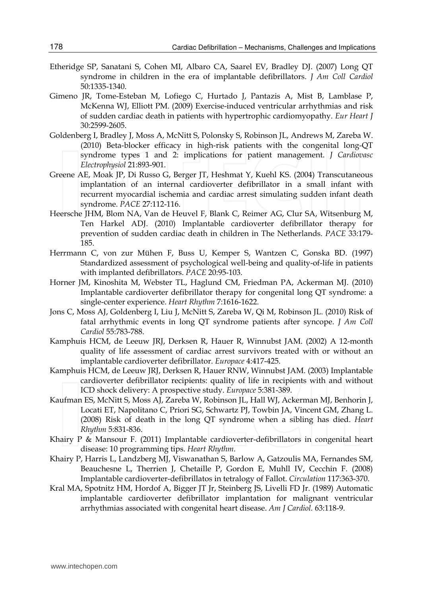- Etheridge SP, Sanatani S, Cohen MI, Albaro CA, Saarel EV, Bradley DJ. (2007) Long QT syndrome in children in the era of implantable defibrillators. *J Am Coll Cardiol* 50:1335-1340.
- Gimeno JR, Tome-Esteban M, Lofiego C, Hurtado J, Pantazis A, Mist B, Lamblase P, McKenna WJ, Elliott PM. (2009) Exercise-induced ventricular arrhythmias and risk of sudden cardiac death in patients with hypertrophic cardiomyopathy. *Eur Heart J* 30:2599-2605.
- Goldenberg I, Bradley J, Moss A, McNitt S, Polonsky S, Robinson JL, Andrews M, Zareba W. (2010) Beta-blocker efficacy in high-risk patients with the congenital long-QT syndrome types 1 and 2: implications for patient management. *J Cardiovasc Electrophysiol* 21:893-901.
- Greene AE, Moak JP, Di Russo G, Berger JT, Heshmat Y, Kuehl KS. (2004) Transcutaneous implantation of an internal cardioverter defibrillator in a small infant with recurrent myocardial ischemia and cardiac arrest simulating sudden infant death syndrome. *PACE* 27:112-116.
- Heersche JHM, Blom NA, Van de Heuvel F, Blank C, Reimer AG, Clur SA, Witsenburg M, Ten Harkel ADJ. (2010) Implantable cardioverter defibrillator therapy for prevention of sudden cardiac death in children in The Netherlands. *PACE* 33:179- 185.
- Herrmann C, von zur Mühen F, Buss U, Kemper S, Wantzen C, Gonska BD. (1997) Standardized assessment of psychological well-being and quality-of-life in patients with implanted defibrillators. *PACE* 20:95-103.
- Horner JM, Kinoshita M, Webster TL, Haglund CM, Friedman PA, Ackerman MJ. (2010) Implantable cardioverter defibrillator therapy for congenital long QT syndrome: a single-center experience. *Heart Rhythm* 7:1616-1622.
- Jons C, Moss AJ, Goldenberg I, Liu J, McNitt S, Zareba W, Qi M, Robinson JL. (2010) Risk of fatal arrhythmic events in long QT syndrome patients after syncope. *J Am Coll Cardiol* 55:783-788.
- Kamphuis HCM, de Leeuw JRJ, Derksen R, Hauer R, Winnubst JAM. (2002) A 12-month quality of life assessment of cardiac arrest survivors treated with or without an implantable cardioverter defibrillator. *Europace* 4:417-425.
- Kamphuis HCM, de Leeuw JRJ, Derksen R, Hauer RNW, Winnubst JAM. (2003) Implantable cardioverter defibrillator recipients: quality of life in recipients with and without ICD shock delivery: A prospective study. *Europace* 5:381-389.
- Kaufman ES, McNitt S, Moss AJ, Zareba W, Robinson JL, Hall WJ, Ackerman MJ, Benhorin J, Locati ET, Napolitano C, Priori SG, Schwartz PJ, Towbin JA, Vincent GM, Zhang L. (2008) Risk of death in the long QT syndrome when a sibling has died. *Heart Rhythm* 5:831-836.
- Khairy P & Mansour F. (2011) Implantable cardioverter-defibrillators in congenital heart disease: 10 programming tips. *Heart Rhythm*.
- Khairy P, Harris L, Landzberg MJ, Viswanathan S, Barlow A, Gatzoulis MA, Fernandes SM, Beauchesne L, Therrien J, Chetaille P, Gordon E, Muhll IV, Cecchin F. (2008) Implantable cardioverter-defibrillatos in tetralogy of Fallot. *Circulation* 117:363-370.
- Kral MA, Spotnitz HM, Hordof A, Bigger JT Jr, Steinberg JS, Livelli FD Jr. (1989) Automatic implantable cardioverter defibrillator implantation for malignant ventricular arrhythmias associated with congenital heart disease. *Am J Cardiol.* 63:118-9.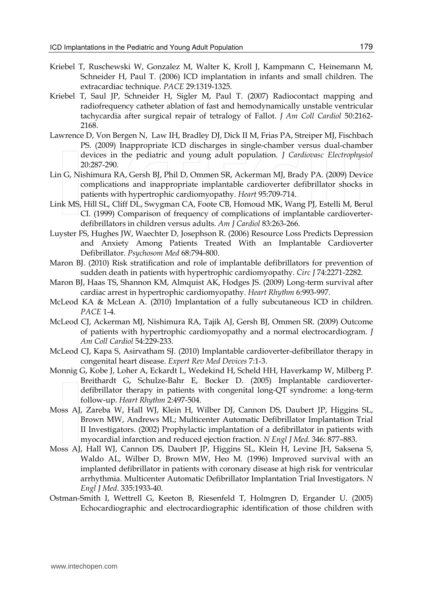- Kriebel T, Ruschewski W, Gonzalez M, Walter K, Kroll J, Kampmann C, Heinemann M, Schneider H, Paul T. (2006) ICD implantation in infants and small children. The extracardiac technique. *PACE* 29:1319-1325.
- Kriebel T, Saul JP, Schneider H, Sigler M, Paul T. (2007) Radiocontact mapping and radiofrequency catheter ablation of fast and hemodynamically unstable ventricular tachycardia after surgical repair of tetralogy of Fallot. *J Am Coll Cardiol* 50:2162- 2168.
- Lawrence D, Von Bergen N, Law IH, Bradley DJ, Dick II M, Frias PA, Streiper MJ, Fischbach PS. (2009) Inappropriate ICD discharges in single-chamber versus dual-chamber devices in the pediatric and young adult population. *J Cardiovasc Electrophysiol* 20:287-290.
- Lin G, Nishimura RA, Gersh BJ, Phil D, Ommen SR, Ackerman MJ, Brady PA. (2009) Device complications and inappropriate implantable cardioverter defibrillator shocks in patients with hypertrophic cardiomyopathy. *Heart* 95:709-714.
- Link MS, Hill SL, Cliff DL, Swygman CA, Foote CB, Homoud MK, Wang PJ, Estelli M, Berul CI. (1999) Comparison of frequency of complications of implantable cardioverterdefibrillators in children versus adults. *Am J Cardiol* 83:263-266.
- Luyster FS, Hughes JW, Waechter D, Josephson R. (2006) Resource Loss Predicts Depression and Anxiety Among Patients Treated With an Implantable Cardioverter Defibrillator. *Psychosom Med* 68:794-800.
- Maron BJ. (2010) Risk stratification and role of implantable defibrillators for prevention of sudden death in patients with hypertrophic cardiomyopathy. *Circ J* 74:2271-2282.
- Maron BJ, Haas TS, Shannon KM, Almquist AK, Hodges JS. (2009) Long-term survival after cardiac arrest in hypertrophic cardiomyopathy. *Heart Rhythm* 6:993-997.
- McLeod KA & McLean A. (2010) Implantation of a fully subcutaneous ICD in children. *PACE* 1-4.
- McLeod CJ, Ackerman MJ, Nishimura RA, Tajik AJ, Gersh BJ, Ommen SR. (2009) Outcome of patients with hypertrophic cardiomyopathy and a normal electrocardiogram. *J Am Coll Cardiol* 54:229-233.
- McLeod CJ, Kapa S, Asirvatham SJ. (2010) Implantable cardioverter-defibrillator therapy in congenital heart disease. *Expert Rev Med Devices* 7:1-3.
- Monnig G, Kobe J, Loher A, Eckardt L, Wedekind H, Scheld HH, Haverkamp W, Milberg P. Breithardt G, Schulze-Bahr E, Bocker D. (2005) Implantable cardioverterdefibrillator therapy in patients with congenital long-QT syndrome: a long-term follow-up. *Heart Rhythm* 2:497-504.
- Moss AJ, Zareba W, Hall WJ, Klein H, Wilber DJ, Cannon DS, Daubert JP, Higgins SL, Brown MW, Andrews ML; Multicenter Automatic Defibrillator Implantation Trial II Investigators. (2002) Prophylactic implantation of a defibrillator in patients with myocardial infarction and reduced ejection fraction. *N Engl J Med*. 346: 877–883.
- Moss AJ, Hall WJ, Cannon DS, Daubert JP, Higgins SL, Klein H, Levine JH, Saksena S, Waldo AL, Wilber D, Brown MW, Heo M. (1996) Improved survival with an implanted defibrillator in patients with coronary disease at high risk for ventricular arrhythmia. Multicenter Automatic Defibrillator Implantation Trial Investigators. *N Engl J Med*. 335:1933-40.
- Ostman-Smith I, Wettrell G, Keeton B, Riesenfeld T, Holmgren D, Ergander U. (2005) Echocardiographic and electrocardiographic identification of those children with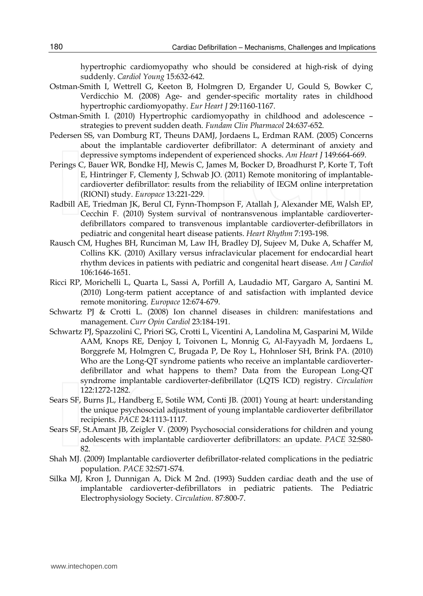hypertrophic cardiomyopathy who should be considered at high-risk of dying suddenly. *Cardiol Young* 15:632-642.

- Ostman-Smith I, Wettrell G, Keeton B, Holmgren D, Ergander U, Gould S, Bowker C, Verdicchio M. (2008) Age- and gender-specific mortality rates in childhood hypertrophic cardiomyopathy. *Eur Heart J* 29:1160-1167.
- Ostman-Smith I. (2010) Hypertrophic cardiomyopathy in childhood and adolescence strategies to prevent sudden death. *Fundam Clin Pharmacol* 24:637-652.
- Pedersen SS, van Domburg RT, Theuns DAMJ, Jordaens L, Erdman RAM. (2005) Concerns about the implantable cardioverter defibrillator: A determinant of anxiety and depressive symptoms independent of experienced shocks. *Am Heart J* 149:664-669.
- Perings C, Bauer WR, Bondke HJ, Mewis C, James M, Bocker D, Broadhurst P, Korte T, Toft E, Hintringer F, Clementy J, Schwab JO. (2011) Remote monitoring of implantablecardioverter defibrillator: results from the reliability of IEGM online interpretation (RIONI) study. *Europace* 13:221-229.
- Radbill AE, Triedman JK, Berul CI, Fynn-Thompson F, Atallah J, Alexander ME, Walsh EP, Cecchin F. (2010) System survival of nontransvenous implantable cardioverterdefibrillators compared to transvenous implantable cardioverter-defibrillators in pediatric and congenital heart disease patients. *Heart Rhythm* 7:193-198.
- Rausch CM, Hughes BH, Runciman M, Law IH, Bradley DJ, Sujeev M, Duke A, Schaffer M, Collins KK. (2010) Axillary versus infraclavicular placement for endocardial heart rhythm devices in patients with pediatric and congenital heart disease. *Am J Cardiol*  106:1646-1651.
- Ricci RP, Morichelli L, Quarta L, Sassi A, Porfill A, Laudadio MT, Gargaro A, Santini M. (2010) Long-term patient acceptance of and satisfaction with implanted device remote monitoring. *Europace* 12:674-679.
- Schwartz PJ & Crotti L. (2008) Ion channel diseases in children: manifestations and management. *Curr Opin Cardiol* 23:184-191.
- Schwartz PJ, Spazzolini C, Priori SG, Crotti L, Vicentini A, Landolina M, Gasparini M, Wilde AAM, Knops RE, Denjoy I, Toivonen L, Monnig G, Al-Fayyadh M, Jordaens L, Borggrefe M, Holmgren C, Brugada P, De Roy L, Hohnloser SH, Brink PA. (2010) Who are the Long-QT syndrome patients who receive an implantable cardioverterdefibrillator and what happens to them? Data from the European Long-QT syndrome implantable cardioverter-defibrillator (LQTS ICD) registry. *Circulation*  122:1272-1282.
- Sears SF, Burns JL, Handberg E, Sotile WM, Conti JB. (2001) Young at heart: understanding the unique psychosocial adjustment of young implantable cardioverter defibrillator recipients. *PACE* 24:1113-1117.
- Sears SF, St.Amant JB, Zeigler V. (2009) Psychosocial considerations for children and young adolescents with implantable cardioverter defibrillators: an update. *PACE* 32:S80- 82.
- Shah MJ. (2009) Implantable cardioverter defibrillator-related complications in the pediatric population. *PACE* 32:S71-S74.
- Silka MJ, Kron J, Dunnigan A, Dick M 2nd. (1993) Sudden cardiac death and the use of implantable cardioverter-defibrillators in pediatric patients. The Pediatric Electrophysiology Society. *Circulation*. 87:800-7.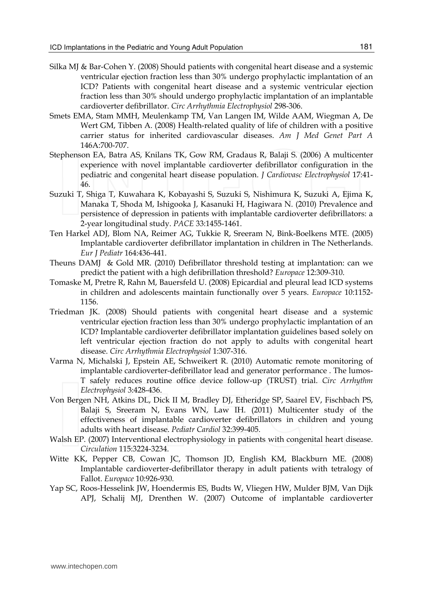- Silka MJ & Bar-Cohen Y. (2008) Should patients with congenital heart disease and a systemic ventricular ejection fraction less than 30% undergo prophylactic implantation of an ICD? Patients with congenital heart disease and a systemic ventricular ejection fraction less than 30% should undergo prophylactic implantation of an implantable cardioverter defibrillator. *Circ Arrhythmia Electrophysiol* 298-306.
- Smets EMA, Stam MMH, Meulenkamp TM, Van Langen IM, Wilde AAM, Wiegman A, De Wert GM, Tibben A. (2008) Health-related quality of life of children with a positive carrier status for inherited cardiovascular diseases. *Am J Med Genet Part A* 146A:700-707.
- Stephenson EA, Batra AS, Knilans TK, Gow RM, Gradaus R, Balaji S. (2006) A multicenter experience with novel implantable cardioverter defibrillator configuration in the pediatric and congenital heart disease population. *J Cardiovasc Electrophysiol* 17:41- 46.
- Suzuki T, Shiga T, Kuwahara K, Kobayashi S, Suzuki S, Nishimura K, Suzuki A, Ejima K, Manaka T, Shoda M, Ishigooka J, Kasanuki H, Hagiwara N. (2010) Prevalence and persistence of depression in patients with implantable cardioverter defibrillators: a 2-year longitudinal study. *PACE* 33:1455-1461.
- Ten Harkel ADJ, Blom NA, Reimer AG, Tukkie R, Sreeram N, Bink-Boelkens MTE. (2005) Implantable cardioverter defibrillator implantation in children in The Netherlands. *Eur J Pediatr* 164:436-441.
- Theuns DAMJ & Gold MR. (2010) Defibrillator threshold testing at implantation: can we predict the patient with a high defibrillation threshold? *Europace* 12:309-310.
- Tomaske M, Pretre R, Rahn M, Bauersfeld U. (2008) Epicardial and pleural lead ICD systems in children and adolescents maintain functionally over 5 years. *Europace* 10:1152- 1156.
- Triedman JK. (2008) Should patients with congenital heart disease and a systemic ventricular ejection fraction less than 30% undergo prophylactic implantation of an ICD? Implantable cardioverter defibrillator implantation guidelines based solely on left ventricular ejection fraction do not apply to adults with congenital heart disease. *Circ Arrhythmia Electrophysiol* 1:307-316.
- Varma N, Michalski J, Epstein AE, Schweikert R. (2010) Automatic remote monitoring of implantable cardioverter-defibrillator lead and generator performance . The lumos-T safely reduces routine office device follow-up (TRUST) trial. *Circ Arrhythm Electrophysiol* 3:428-436.
- Von Bergen NH, Atkins DL, Dick II M, Bradley DJ, Etheridge SP, Saarel EV, Fischbach PS, Balaji S, Sreeram N, Evans WN, Law IH. (2011) Multicenter study of the effectiveness of implantable cardioverter defibrillators in children and young adults with heart disease. *Pediatr Cardiol* 32:399-405.
- Walsh EP. (2007) Interventional electrophysiology in patients with congenital heart disease. *Circulation* 115:3224-3234.
- Witte KK, Pepper CB, Cowan JC, Thomson JD, English KM, Blackburn ME. (2008) Implantable cardioverter-defibrillator therapy in adult patients with tetralogy of Fallot. *Europace* 10:926-930.
- Yap SC, Roos-Hesselink JW, Hoendermis ES, Budts W, Vliegen HW, Mulder BJM, Van Dijk APJ, Schalij MJ, Drenthen W. (2007) Outcome of implantable cardioverter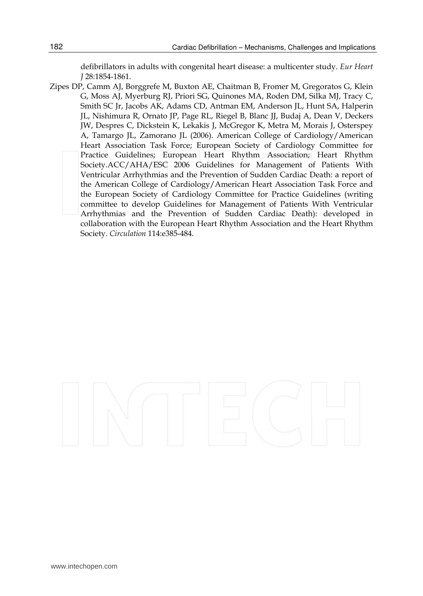defibrillators in adults with congenital heart disease: a multicenter study. *Eur Heart J* 28:1854-1861.

Zipes DP, Camm AJ, Borggrefe M, Buxton AE, Chaitman B, Fromer M, Gregoratos G, Klein G, Moss AJ, Myerburg RJ, Priori SG, Quinones MA, Roden DM, Silka MJ, Tracy C, Smith SC Jr, Jacobs AK, Adams CD, Antman EM, Anderson JL, Hunt SA, Halperin JL, Nishimura R, Ornato JP, Page RL, Riegel B, Blanc JJ, Budaj A, Dean V, Deckers JW, Despres C, Dickstein K, Lekakis J, McGregor K, Metra M, Morais J, Osterspey A, Tamargo JL, Zamorano JL (2006). American College of Cardiology/American Heart Association Task Force; European Society of Cardiology Committee for Practice Guidelines; European Heart Rhythm Association; Heart Rhythm Society.ACC/AHA/ESC 2006 Guidelines for Management of Patients With Ventricular Arrhythmias and the Prevention of Sudden Cardiac Death: a report of the American College of Cardiology/American Heart Association Task Force and the European Society of Cardiology Committee for Practice Guidelines (writing committee to develop Guidelines for Management of Patients With Ventricular Arrhythmias and the Prevention of Sudden Cardiac Death): developed in collaboration with the European Heart Rhythm Association and the Heart Rhythm Society. *Circulation* 114:e385-484.